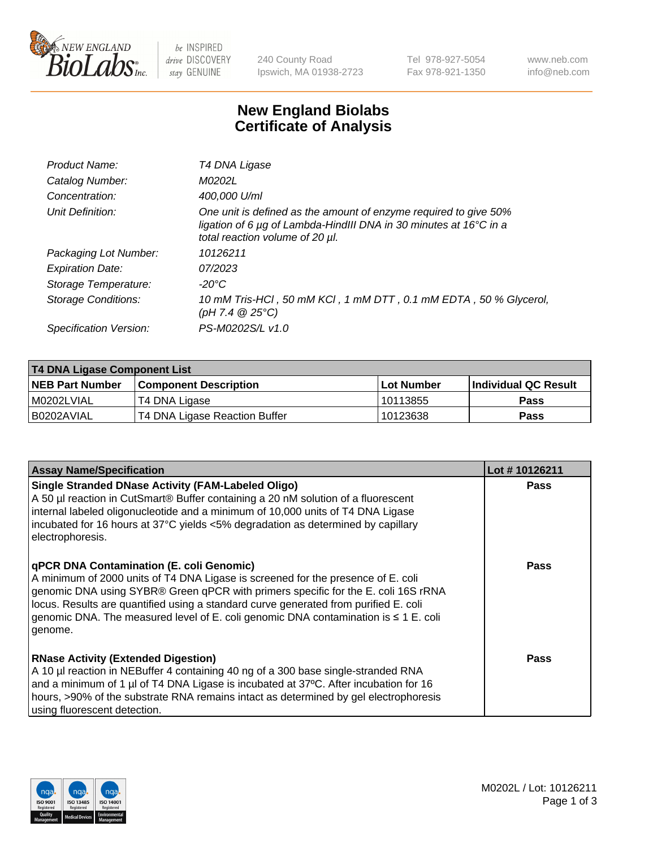

 $be$  INSPIRED drive DISCOVERY stay GENUINE

240 County Road Ipswich, MA 01938-2723 Tel 978-927-5054 Fax 978-921-1350 www.neb.com info@neb.com

## **New England Biolabs Certificate of Analysis**

| Product Name:           | T4 DNA Ligase                                                                                                                                                            |
|-------------------------|--------------------------------------------------------------------------------------------------------------------------------------------------------------------------|
| Catalog Number:         | M0202L                                                                                                                                                                   |
| Concentration:          | 400,000 U/ml                                                                                                                                                             |
| Unit Definition:        | One unit is defined as the amount of enzyme required to give 50%<br>ligation of 6 µg of Lambda-HindIII DNA in 30 minutes at 16°C in a<br>total reaction volume of 20 µl. |
| Packaging Lot Number:   | 10126211                                                                                                                                                                 |
| <b>Expiration Date:</b> | 07/2023                                                                                                                                                                  |
| Storage Temperature:    | $-20^{\circ}$ C                                                                                                                                                          |
| Storage Conditions:     | 10 mM Tris-HCl, 50 mM KCl, 1 mM DTT, 0.1 mM EDTA, 50 % Glycerol,<br>(pH 7.4 $@25°C$ )                                                                                    |
| Specification Version:  | PS-M0202S/L v1.0                                                                                                                                                         |

| T4 DNA Ligase Component List |                               |              |                             |  |  |
|------------------------------|-------------------------------|--------------|-----------------------------|--|--|
| <b>NEB Part Number</b>       | <b>Component Description</b>  | l Lot Number | <b>Individual QC Result</b> |  |  |
| M0202LVIAL                   | T4 DNA Ligase                 | 10113855     | <b>Pass</b>                 |  |  |
| I B0202AVIAL                 | T4 DNA Ligase Reaction Buffer | 10123638     | <b>Pass</b>                 |  |  |

| <b>Assay Name/Specification</b>                                                                                                                                                                                                                                                                                                                                                                             | Lot #10126211 |
|-------------------------------------------------------------------------------------------------------------------------------------------------------------------------------------------------------------------------------------------------------------------------------------------------------------------------------------------------------------------------------------------------------------|---------------|
| <b>Single Stranded DNase Activity (FAM-Labeled Oligo)</b><br>A 50 µl reaction in CutSmart® Buffer containing a 20 nM solution of a fluorescent<br>internal labeled oligonucleotide and a minimum of 10,000 units of T4 DNA Ligase<br>incubated for 16 hours at 37°C yields <5% degradation as determined by capillary<br>electrophoresis.                                                                   | <b>Pass</b>   |
| qPCR DNA Contamination (E. coli Genomic)<br>A minimum of 2000 units of T4 DNA Ligase is screened for the presence of E. coli<br>genomic DNA using SYBR® Green qPCR with primers specific for the E. coli 16S rRNA<br>locus. Results are quantified using a standard curve generated from purified E. coli<br>genomic DNA. The measured level of E. coli genomic DNA contamination is ≤ 1 E. coli<br>genome. | <b>Pass</b>   |
| <b>RNase Activity (Extended Digestion)</b><br>A 10 µl reaction in NEBuffer 4 containing 40 ng of a 300 base single-stranded RNA<br>and a minimum of 1 $\mu$ of T4 DNA Ligase is incubated at 37°C. After incubation for 16<br>hours, >90% of the substrate RNA remains intact as determined by gel electrophoresis<br>using fluorescent detection.                                                          | <b>Pass</b>   |

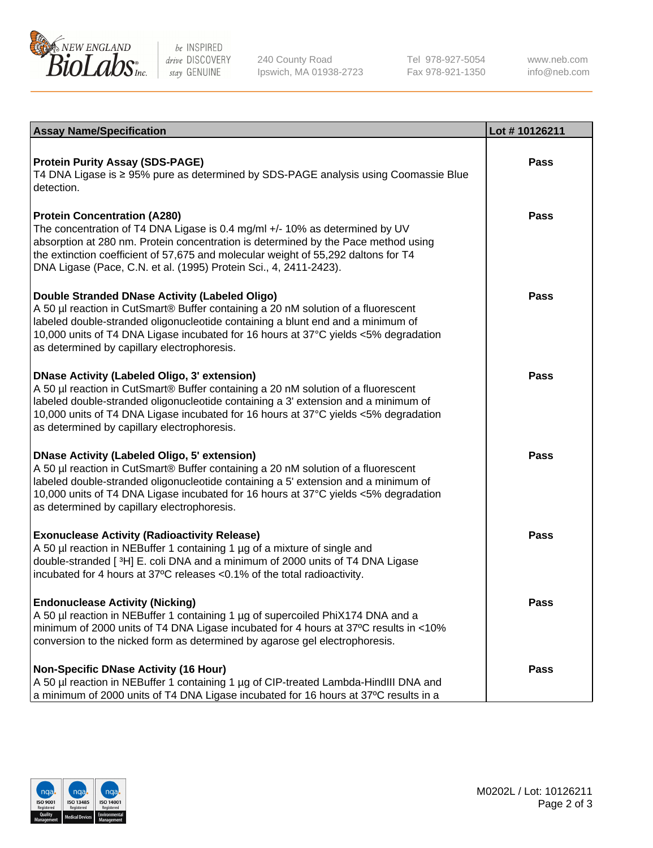

be INSPIRED drive DISCOVERY stay GENUINE

240 County Road Ipswich, MA 01938-2723 Tel 978-927-5054 Fax 978-921-1350 www.neb.com info@neb.com

| <b>Assay Name/Specification</b>                                                                                                                                                                                                                                                                                                                                      | Lot #10126211 |
|----------------------------------------------------------------------------------------------------------------------------------------------------------------------------------------------------------------------------------------------------------------------------------------------------------------------------------------------------------------------|---------------|
| <b>Protein Purity Assay (SDS-PAGE)</b><br>T4 DNA Ligase is ≥ 95% pure as determined by SDS-PAGE analysis using Coomassie Blue<br>detection.                                                                                                                                                                                                                          | <b>Pass</b>   |
| <b>Protein Concentration (A280)</b><br>The concentration of T4 DNA Ligase is 0.4 mg/ml +/- 10% as determined by UV<br>absorption at 280 nm. Protein concentration is determined by the Pace method using<br>the extinction coefficient of 57,675 and molecular weight of 55,292 daltons for T4<br>DNA Ligase (Pace, C.N. et al. (1995) Protein Sci., 4, 2411-2423).  | <b>Pass</b>   |
| Double Stranded DNase Activity (Labeled Oligo)<br>A 50 µl reaction in CutSmart® Buffer containing a 20 nM solution of a fluorescent<br>labeled double-stranded oligonucleotide containing a blunt end and a minimum of<br>10,000 units of T4 DNA Ligase incubated for 16 hours at 37°C yields <5% degradation<br>as determined by capillary electrophoresis.         | <b>Pass</b>   |
| <b>DNase Activity (Labeled Oligo, 3' extension)</b><br>A 50 µl reaction in CutSmart® Buffer containing a 20 nM solution of a fluorescent<br>labeled double-stranded oligonucleotide containing a 3' extension and a minimum of<br>10,000 units of T4 DNA Ligase incubated for 16 hours at 37°C yields <5% degradation<br>as determined by capillary electrophoresis. | Pass          |
| <b>DNase Activity (Labeled Oligo, 5' extension)</b><br>A 50 µl reaction in CutSmart® Buffer containing a 20 nM solution of a fluorescent<br>labeled double-stranded oligonucleotide containing a 5' extension and a minimum of<br>10,000 units of T4 DNA Ligase incubated for 16 hours at 37°C yields <5% degradation<br>as determined by capillary electrophoresis. | Pass          |
| <b>Exonuclease Activity (Radioactivity Release)</b><br>A 50 µl reaction in NEBuffer 1 containing 1 µg of a mixture of single and<br>double-stranded [3H] E. coli DNA and a minimum of 2000 units of T4 DNA Ligase<br>incubated for 4 hours at 37°C releases <0.1% of the total radioactivity.                                                                        | Pass          |
| <b>Endonuclease Activity (Nicking)</b><br>A 50 µl reaction in NEBuffer 1 containing 1 µg of supercoiled PhiX174 DNA and a<br>minimum of 2000 units of T4 DNA Ligase incubated for 4 hours at 37°C results in <10%<br>conversion to the nicked form as determined by agarose gel electrophoresis.                                                                     | Pass          |
| <b>Non-Specific DNase Activity (16 Hour)</b><br>A 50 µl reaction in NEBuffer 1 containing 1 µg of CIP-treated Lambda-HindIII DNA and<br>a minimum of 2000 units of T4 DNA Ligase incubated for 16 hours at 37°C results in a                                                                                                                                         | <b>Pass</b>   |